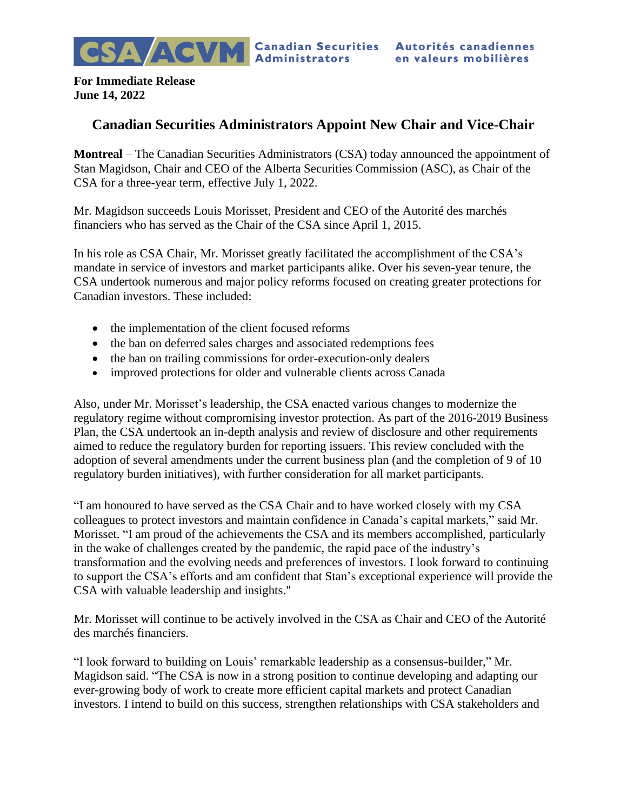**For Immediate Release June 14, 2022**

## **Canadian Securities Administrators Appoint New Chair and Vice-Chair**

**Montreal** – The Canadian Securities Administrators (CSA) today announced the appointment of Stan Magidson, Chair and CEO of the Alberta Securities Commission (ASC), as Chair of the CSA for a three-year term, effective July 1, 2022.

Mr. Magidson succeeds Louis Morisset, President and CEO of the Autorité des marchés financiers who has served as the Chair of the CSA since April 1, 2015.

In his role as CSA Chair, Mr. Morisset greatly facilitated the accomplishment of the CSA's mandate in service of investors and market participants alike. Over his seven-year tenure, the CSA undertook numerous and major policy reforms focused on creating greater protections for Canadian investors. These included:

- the implementation of the client focused reforms
- the ban on deferred sales charges and associated redemptions fees
- the ban on trailing commissions for order-execution-only dealers
- improved protections for older and vulnerable clients across Canada

Also, under Mr. Morisset's leadership, the CSA enacted various changes to modernize the regulatory regime without compromising investor protection. As part of the 2016-2019 Business Plan, the CSA undertook an in-depth analysis and review of disclosure and other requirements aimed to reduce the regulatory burden for reporting issuers. This review concluded with the adoption of several amendments under the current business plan (and the completion of 9 of 10 regulatory burden initiatives), with further consideration for all market participants.

"I am honoured to have served as the CSA Chair and to have worked closely with my CSA colleagues to protect investors and maintain confidence in Canada's capital markets," said Mr. Morisset. "I am proud of the achievements the CSA and its members accomplished, particularly in the wake of challenges created by the pandemic, the rapid pace of the industry's transformation and the evolving needs and preferences of investors. I look forward to continuing to support the CSA's efforts and am confident that Stan's exceptional experience will provide the CSA with valuable leadership and insights."

Mr. Morisset will continue to be actively involved in the CSA as Chair and CEO of the Autorité des marchés financiers.

"I look forward to building on Louis' remarkable leadership as a consensus-builder," Mr. Magidson said. "The CSA is now in a strong position to continue developing and adapting our ever-growing body of work to create more efficient capital markets and protect Canadian investors. I intend to build on this success, strengthen relationships with CSA stakeholders and